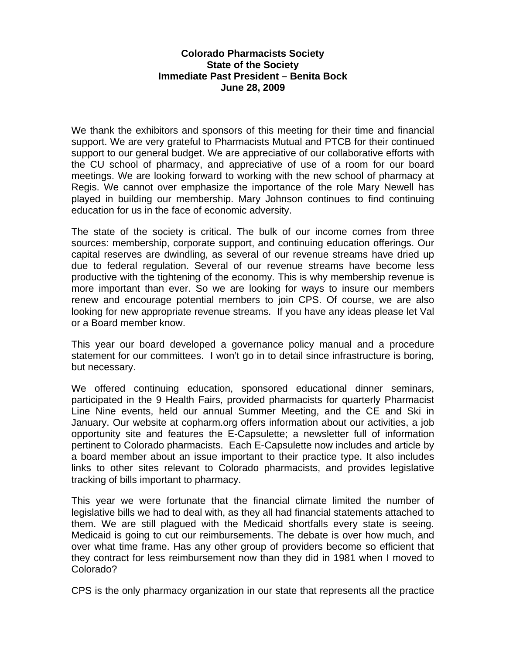## **Colorado Pharmacists Society State of the Society Immediate Past President – Benita Bock June 28, 2009**

We thank the exhibitors and sponsors of this meeting for their time and financial support. We are very grateful to Pharmacists Mutual and PTCB for their continued support to our general budget. We are appreciative of our collaborative efforts with the CU school of pharmacy, and appreciative of use of a room for our board meetings. We are looking forward to working with the new school of pharmacy at Regis. We cannot over emphasize the importance of the role Mary Newell has played in building our membership. Mary Johnson continues to find continuing education for us in the face of economic adversity.

The state of the society is critical. The bulk of our income comes from three sources: membership, corporate support, and continuing education offerings. Our capital reserves are dwindling, as several of our revenue streams have dried up due to federal regulation. Several of our revenue streams have become less productive with the tightening of the economy. This is why membership revenue is more important than ever. So we are looking for ways to insure our members renew and encourage potential members to join CPS. Of course, we are also looking for new appropriate revenue streams. If you have any ideas please let Val or a Board member know.

This year our board developed a governance policy manual and a procedure statement for our committees. I won't go in to detail since infrastructure is boring, but necessary.

We offered continuing education, sponsored educational dinner seminars, participated in the 9 Health Fairs, provided pharmacists for quarterly Pharmacist Line Nine events, held our annual Summer Meeting, and the CE and Ski in January. Our website at copharm.org offers information about our activities, a job opportunity site and features the E-Capsulette; a newsletter full of information pertinent to Colorado pharmacists. Each E-Capsulette now includes and article by a board member about an issue important to their practice type. It also includes links to other sites relevant to Colorado pharmacists, and provides legislative tracking of bills important to pharmacy.

This year we were fortunate that the financial climate limited the number of legislative bills we had to deal with, as they all had financial statements attached to them. We are still plagued with the Medicaid shortfalls every state is seeing. Medicaid is going to cut our reimbursements. The debate is over how much, and over what time frame. Has any other group of providers become so efficient that they contract for less reimbursement now than they did in 1981 when I moved to Colorado?

CPS is the only pharmacy organization in our state that represents all the practice